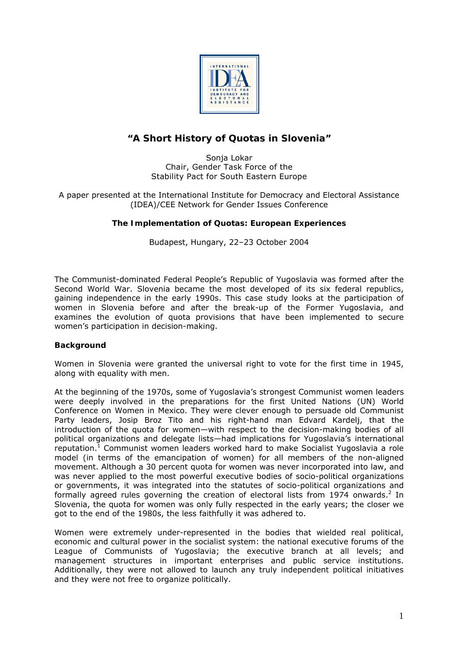

# **"A Short History of Quotas in Slovenia"**

Sonja Lokar Chair, Gender Task Force of the Stability Pact for South Eastern Europe

A paper presented at the International Institute for Democracy and Electoral Assistance (IDEA)/CEE Network for Gender Issues Conference

# **The Implementation of Quotas: European Experiences**

Budapest, Hungary, 22–23 October 2004

The Communist-dominated Federal People's Republic of Yugoslavia was formed after the Second World War. Slovenia became the most developed of its six federal republics, gaining independence in the early 1990s. This case study looks at the participation of women in Slovenia before and after the break-up of the Former Yugoslavia, and examines the evolution of quota provisions that have been implemented to secure women's participation in decision-making.

### **Background**

Women in Slovenia were granted the universal right to vote for the first time in 1945, along with equality with men.

At the beginning of the 1970s, some of Yugoslavia's strongest Communist women leaders were deeply involved in the preparations for the first United Nations (UN) World Conference on Women in Mexico. They were clever enough to persuade old Communist Party leaders, Josip Broz Tito and his right-hand man Edvard Kardelj, that the introduction of the quota for women—with respect to the decision-making bodies of all political organizations and delegate lists—had implications for Yugoslavia's international reputation.<sup>1</sup> Communist women leaders worked hard to make Socialist Yugoslavia a role model (in terms of the emancipation of women) for all members of the non-aligned movement. Although a 30 percent quota for women was never incorporated into law, and was never applied to the most powerful executive bodies of socio-political organizations or governments, it was integrated into the statutes of socio-political organizations and formally agreed rules governing the creation of electoral lists from 1974 onwards. $2$  In Slovenia, the quota for women was only fully respected in the early years; the closer we got to the end of the 1980s, the less faithfully it was adhered to.

Women were extremely under-represented in the bodies that wielded real political, economic and cultural power in the socialist system: the national executive forums of the League of Communists of Yugoslavia; the executive branch at all levels; and management structures in important enterprises and public service institutions. Additionally, they were not allowed to launch any truly independent political initiatives and they were not free to organize politically.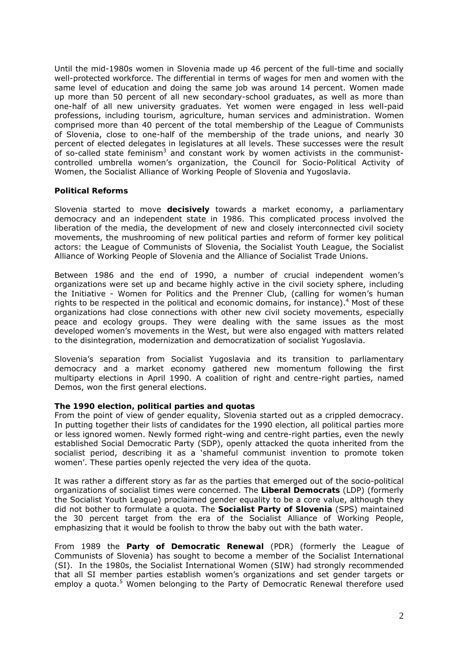Until the mid-1980s women in Slovenia made up 46 percent of the full-time and socially well-protected workforce. The differential in terms of wages for men and women with the same level of education and doing the same job was around 14 percent. Women made up more than 50 percent of all new secondary-school graduates, as well as more than one-half of all new university graduates. Yet women were engaged in less well-paid professions, including tourism, agriculture, human services and administration. Women comprised more than 40 percent of the total membership of the League of Communists of Slovenia, close to one-half of the membership of the trade unions, and nearly 30 percent of elected delegates in legislatures at all levels. These successes were the result of so-called state feminism<sup>3</sup> and constant work by women activists in the communistcontrolled umbrella women's organization, the Council for Socio-Political Activity of Women, the Socialist Alliance of Working People of Slovenia and Yugoslavia.

### **Political Reforms**

Slovenia started to move **decisively** towards a market economy, a parliamentary democracy and an independent state in 1986. This complicated process involved the liberation of the media, the development of new and closely interconnected civil society movements, the mushrooming of new political parties and reform of former key political actors: the League of Communists of Slovenia, the Socialist Youth League, the Socialist Alliance of Working People of Slovenia and the Alliance of Socialist Trade Unions.

Between 1986 and the end of 1990, a number of crucial independent women's organizations were set up and became highly active in the civil society sphere, including the Initiative - Women for Politics and the Prenner Club, (calling for women's human rights to be respected in the political and economic domains, for instance).<sup>4</sup> Most of these organizations had close connections with other new civil society movements, especially peace and ecology groups. They were dealing with the same issues as the most developed women's movements in the West, but were also engaged with matters related to the disintegration, modernization and democratization of socialist Yugoslavia.

Slovenia's separation from Socialist Yugoslavia and its transition to parliamentary democracy and a market economy gathered new momentum following the first multiparty elections in April 1990. A coalition of right and centre-right parties, named Demos, won the first general elections.

# *The 1990 election, political parties and quotas*

From the point of view of gender equality, Slovenia started out as a crippled democracy. In putting together their lists of candidates for the 1990 election, all political parties more or less ignored women. Newly formed right-wing and centre-right parties, even the newly established Social Democratic Party (SDP), openly attacked the quota inherited from the socialist period, describing it as a 'shameful communist invention to promote token women'. These parties openly rejected the very idea of the quota.

It was rather a different story as far as the parties that emerged out of the socio-political organizations of socialist times were concerned. The *Liberal Democrats* (LDP) (formerly the Socialist Youth League) proclaimed gender equality to be a core value, although they did not bother to formulate a quota. The *Socialist Party of Slovenia* (SPS) maintained the 30 percent target from the era of the Socialist Alliance of Working People, emphasizing that it would be foolish to throw the baby out with the bath water.

From 1989 the *Party of Democratic Renewa***l** (PDR) (formerly the League of Communists of Slovenia) has sought to become a member of the Socialist International (SI). In the 1980s, the Socialist International Women (SIW) had strongly recommended that all SI member parties establish women's organizations and set gender targets or employ a quota.<sup>5</sup> Women belonging to the Party of Democratic Renewal therefore used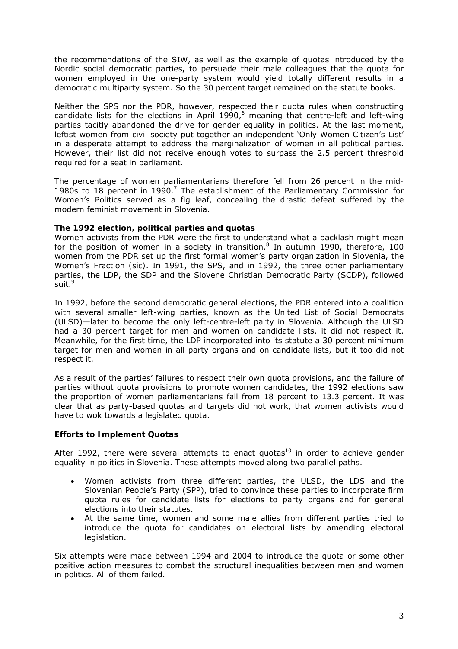the recommendations of the SIW, as well as the example of quotas introduced by the Nordic social democratic parties**,** to persuade their male colleagues that the quota for women employed in the one-party system would yield totally different results in a democratic multiparty system. So the 30 percent target remained on the statute books.

Neither the SPS nor the PDR, however, respected their quota rules when constructing candidate lists for the elections in April 1990, $^6$  meaning that centre-left and left-wing parties tacitly abandoned the drive for gender equality in politics. At the last moment, leftist women from civil society put together an independent 'Only Women Citizen's List' in a desperate attempt to address the marginalization of women in all political parties. However, their list did not receive enough votes to surpass the 2.5 percent threshold required for a seat in parliament.

The percentage of women parliamentarians therefore *fell from 26 percent in the mid-*1980s to 18 percent in 1990.<sup>7</sup> The establishment of the Parliamentary Commission for Women's Politics served as a fig leaf, concealing the drastic defeat suffered by the modern feminist movement in Slovenia.

# *The 1992 election, political parties and quotas*

Women activists from the PDR were the first to understand what a backlash might mean for the position of women in a society in transition.<sup>8</sup> In autumn 1990, therefore, 100 women from the PDR set up the first formal women's party organization in Slovenia, the Women's Fraction *(sic)*. In 1991, the SPS, and in 1992, the three other parliamentary parties, the LDP, the SDP and the Slovene Christian Democratic Party (SCDP), followed suit.<sup>9</sup>

In 1992, before the second democratic general elections, the PDR entered into a coalition with several smaller left-wing parties, known as the United List of Social Democrats (ULSD)—later to become the only left-centre-left party in Slovenia. Although the ULSD had a 30 percent target for men and women on candidate lists, it did not respect it. Meanwhile, for the first time, the LDP incorporated into its statute a 30 percent minimum target for men and women in all party organs and on candidate lists, but it too did not respect it.

As a result of the parties' failures to respect their own quota provisions, and the failure of parties without quota provisions to promote women candidates, the 1992 elections saw the proportion of women parliamentarians fall from 18 percent to 13.3 percent. It was clear that as party-based quotas and targets did not work, that women activists would have to wok towards a legislated quota.

### **Efforts to Implement Quotas**

After 1992, there were several attempts to enact quotas<sup>10</sup> in order to achieve gender equality in politics in Slovenia. These attempts moved along two parallel paths.

- Women activists from three different parties, the ULSD, the LDS and the Slovenian People's Party (SPP), tried to convince these parties to incorporate firm quota rules for candidate lists for elections to party organs and for general elections into their statutes.
- At the same time, women and some male allies from different parties tried to introduce the quota for candidates on electoral lists by amending electoral legislation.

Six attempts were made between 1994 and 2004 to introduce the quota or some other positive action measures to combat the structural inequalities between men and women in politics. All of them failed.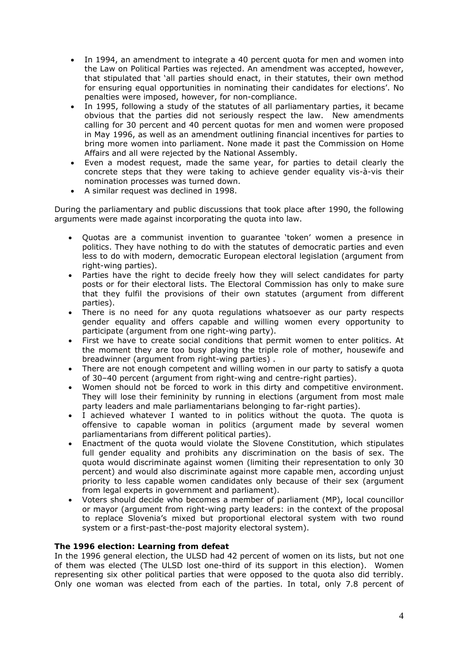- In 1994, an amendment to integrate a 40 percent quota for men and women into the Law on Political Parties was rejected. An amendment was accepted, however, that stipulated that 'all parties should enact, in their statutes, their own method for ensuring equal opportunities in nominating their candidates for elections'. No penalties were imposed, however, for non-compliance.
- In 1995, following a study of the statutes of all parliamentary parties, it became obvious that the parties did not seriously respect the law. New amendments calling for 30 percent and 40 percent quotas for men and women were proposed in May 1996, as well as an amendment outlining financial incentives for parties to bring more women into parliament. None made it past the Commission on Home Affairs and all were rejected by the National Assembly.
- Even a modest request, made the same year, for parties to detail clearly the concrete steps that they were taking to achieve gender equality vis-à-vis their nomination processes was turned down.
- A similar request was declined in 1998.

During the parliamentary and public discussions that took place after 1990, the following arguments were made against incorporating the quota into law.

- Quotas are a communist invention to guarantee 'token' women a presence in politics. They have nothing to do with the statutes of democratic parties and even less to do with modern, democratic European electoral legislation (argument from right-wing parties).
- Parties have the right to decide freely how they will select candidates for party posts or for their electoral lists. The Electoral Commission has only to make sure that they fulfil the provisions of their own statutes (argument from different parties).
- There is no need for any quota regulations whatsoever as our party respects gender equality and offers capable and willing women every opportunity to participate (argument from one right-wing party).
- First we have to create social conditions that permit women to enter politics. At the moment they are too busy playing the triple role of mother, housewife and breadwinner (argument from right-wing parties) .
- There are not enough competent and willing women in our party to satisfy a quota of 30–40 percent (argument from right-wing and centre-right parties).
- Women should not be forced to work in this dirty and competitive environment. They will lose their femininity by running in elections (argument from most male party leaders and male parliamentarians belonging to far-right parties).
- I achieved whatever I wanted to in politics without the quota. The quota is offensive to capable woman in politics (argument made by several women parliamentarians from different political parties).
- Enactment of the quota would violate the Slovene Constitution, which stipulates full gender equality and prohibits any discrimination on the basis of sex. The quota would discriminate against women (limiting their representation to only 30 percent) and would also discriminate against more capable men, according unjust priority to less capable women candidates only because of their sex (argument from legal experts in government and parliament).
- Voters should decide who becomes a member of parliament (MP), local councillor or mayor (argument from right-wing party leaders: in the context of the proposal to replace Slovenia's mixed but proportional electoral system with two round system or a first-past-the-post majority electoral system).

# *The 1996 election: Learning from defeat*

In the 1996 general election, the ULSD had 42 percent of women on its lists, but not one of them was elected (The ULSD lost one-third of its support in this election). Women representing six other political parties that were opposed to the quota also did terribly. Only one woman was elected from each of the parties. In total, only 7.8 percent of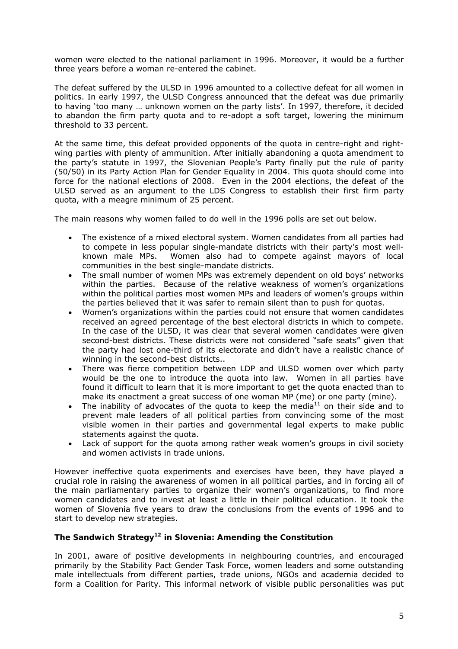women were elected to the national parliament in 1996. Moreover, it would be a further three years before a woman re-entered the cabinet.

The defeat suffered by the ULSD in 1996 amounted to a collective defeat for all women in politics. In early 1997, the ULSD Congress announced that the defeat was due primarily to having 'too many … unknown women on the party lists'. In 1997, therefore, it decided to abandon the firm party quota and to re-adopt a soft target, lowering the minimum threshold to 33 percent.

At the same time, this defeat provided opponents of the quota in centre-right and rightwing parties with plenty of ammunition. After initially abandoning a quota amendment to the party's statute in 1997, the Slovenian People's Party finally put the rule of parity (50/50) in its Party Action Plan for Gender Equality in 2004. This quota should come into force for the national elections of 2008. Even in the 2004 elections, the defeat of the ULSD served as an argument to the LDS Congress to establish their first firm party quota, with a meagre minimum of 25 percent.

The main reasons why women failed to do well in the 1996 polls are set out below.

- The existence of a mixed electoral system. Women candidates from all parties had to compete in less popular single-mandate districts with their party's most wellknown male MPs. Women also had to compete against mayors of local communities in the best single-mandate districts.
- The small number of women MPs was extremely dependent on old boys' networks within the parties. Because of the relative weakness of women's organizations within the political parties most women MPs and leaders of women's groups within the parties believed that it was safer to remain silent than to push for quotas.
- Women's organizations within the parties could not ensure that women candidates received an agreed percentage of the best electoral districts in which to compete. In the case of the ULSD, it was clear that several women candidates were given second-best districts. These districts were not considered "safe seats" given that the party had lost one-third of its electorate and didn't have a realistic chance of winning in the second-best districts..
- There was fierce competition between LDP and ULSD women over which party would be the one to introduce the quota into law. Women in all parties have found it difficult to learn that it is more important to get the quota enacted than to make its enactment a great success of one woman MP (me) or one party (mine).
- The inability of advocates of the quota to keep the media $11$  on their side and to prevent male leaders of all political parties from convincing some of the most visible women in their parties and governmental legal experts to make public statements against the quota.
- Lack of support for the quota among rather weak women's groups in civil society and women activists in trade unions.

However ineffective quota experiments and exercises have been, they have played a crucial role in raising the awareness of women in all political parties, and in forcing all of the main parliamentary parties to organize their women's organizations, to find more women candidates and to invest at least a little in their political education. It took the women of Slovenia five years to draw the conclusions from the events of 1996 and to start to develop new strategies.

# **The Sandwich Strategy12 in Slovenia: Amending the Constitution**

In 2001, aware of positive developments in neighbouring countries, and encouraged primarily by the Stability Pact Gender Task Force, women leaders and some outstanding male intellectuals from different parties, trade unions, NGOs and academia decided to form a Coalition for Parity. This informal network of visible public personalities was put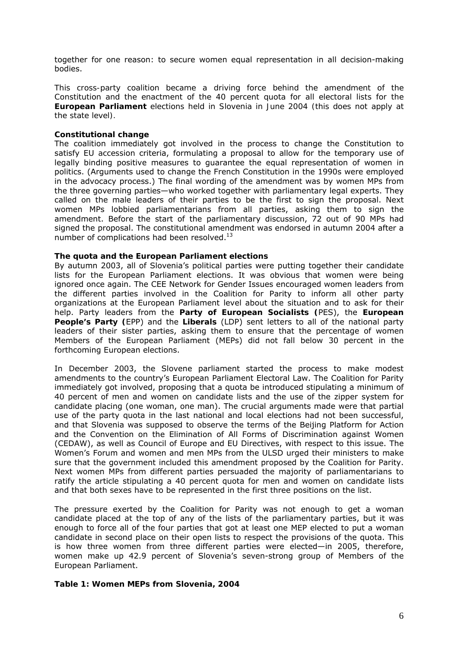together for one reason: to secure women equal representation in all decision-making bodies.

*This cross-party coalition became a driving force behind the amendment of the Constitution and the enactment of the 40 percent quota for all electoral lists for the European Parliament elections held in Slovenia in June 2004 (this does not apply at the state level).* 

### *Constitutional change*

The coalition immediately got involved in the process to change the Constitution to satisfy *EU accession* criteria, formulating a proposal to allow for the temporary use of legally binding positive measures to guarantee the equal representation of women in politics. (Arguments used to change the French Constitution in the 1990s were employed in the advocacy process.) The final wording of the amendment was by women MPs from the three governing parties—who worked together with parliamentary legal experts. They called on the male leaders of their parties to be the first to sign the proposal. Next women MPs lobbied parliamentarians from all parties, asking them to sign the amendment. Before the start of the parliamentary discussion, 72 out of 90 MPs had signed the proposal. The constitutional amendment was endorsed in autumn 2004 after a number of complications had been resolved.<sup>13</sup>

### *The quota and the European Parliament elections*

By autumn 2003, all of Slovenia's political parties were putting together their candidate lists for the European Parliament elections. It was obvious that women were being ignored once again. The CEE Network for Gender Issues encouraged women leaders from the different parties involved in the Coalition for Parity to inform all other party organizations at the European Parliament level about the situation and to ask for their help. Party leaders from the **Party of European Socialists (**PES), the **European People's Party (**EPP) and the **Liberals** (LDP) sent letters to all of the national party leaders of their sister parties, asking them to ensure that the percentage of women Members of the European Parliament (MEPs) did not fall below 30 percent in the forthcoming European elections.

In December 2003, the Slovene parliament started the process to make modest amendments to the country's European Parliament Electoral Law. The Coalition for Parity immediately got involved, proposing that a quota be introduced stipulating a minimum of 40 percent of men and women on candidate lists and the use of the zipper system for candidate placing (one woman, one man). The crucial arguments made were that partial use of the party quota in the last national and local elections had not been successful, and that Slovenia was supposed to observe the terms of the Beijing Platform for Action and the Convention on the Elimination of All Forms of Discrimination against Women (CEDAW), as well as Council of Europe and EU Directives, with respect to this issue. The Women's Forum and women and men MPs from the ULSD urged their ministers to make sure that the government included this amendment proposed by the Coalition for Parity. Next women MPs from different parties persuaded the majority of parliamentarians to ratify the article stipulating a 40 percent quota for men and women on candidate lists and that both sexes have to be represented in the first three positions on the list.

The pressure exerted by the Coalition for Parity was not enough to get a woman candidate placed at the top of any of the lists of the parliamentary parties, but it was enough to force all of the four parties that got at least one MEP elected to put a woman candidate in second place on their open lists to respect the provisions of the quota. This is how three women from three different parties were elected—in 2005, therefore, women make up 42.9 percent of Slovenia's seven-strong group of Members of the European Parliament.

#### **Table 1: Women MEPs from Slovenia, 2004**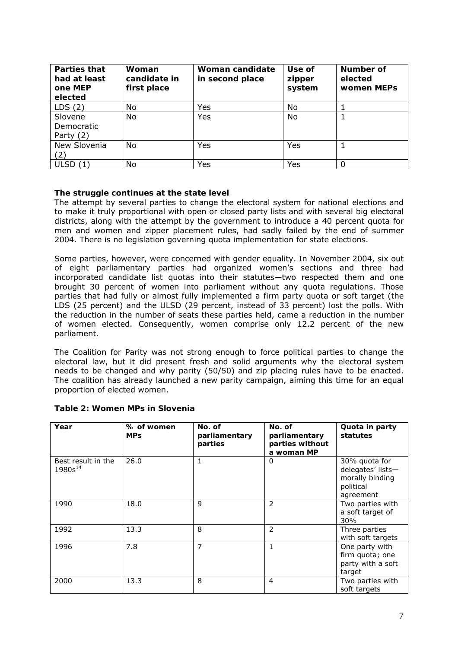| <b>Parties that</b><br>had at least<br>one MEP<br>elected | Woman<br>candidate in<br>first place | Woman candidate<br>in second place | Use of<br>zipper<br>system | Number of<br>elected<br>women MEPs |
|-----------------------------------------------------------|--------------------------------------|------------------------------------|----------------------------|------------------------------------|
| LDS(2)                                                    | No                                   | Yes                                | No                         |                                    |
| Slovene<br>Democratic<br>Party $(2)$                      | No                                   | Yes                                | No                         |                                    |
| New Slovenia<br>(2)                                       | No                                   | Yes                                | Yes                        |                                    |
| ULSD $(1)$                                                | No                                   | Yes                                | Yes                        |                                    |

# *The struggle continues at the state level*

The attempt by several parties to change the electoral system for national elections and to make it truly proportional with open or closed party lists and with several big electoral districts, along with the attempt by the government to introduce a 40 percent quota for men and women and zipper placement rules, had sadly failed by the end of summer 2004. There is no legislation governing quota implementation for state elections.

Some parties, however, were concerned with gender equality. In November 2004, six out of eight parliamentary parties had organized women's sections and three had incorporated candidate list quotas into their statutes—two respected them and one brought 30 percent of women into parliament without any quota regulations. Those parties that had fully or almost fully implemented a firm party quota or soft target (the LDS (25 percent) and the ULSD (29 percent, instead of 33 percent) lost the polls. With the reduction in the number of seats these parties held, came a reduction in the number of women elected. Consequently, women comprise only 12.2 percent of the new parliament.

The Coalition for Parity was not strong enough to force political parties to change the electoral law, but it did present fresh and solid arguments why the electoral system needs to be changed and why parity (50/50) and zip placing rules have to be enacted. The coalition has already launched a new parity campaign, aiming this time for an equal proportion of elected women.

| Year                               | % of women<br><b>MPs</b> | No. of<br>parliamentary<br>parties | No. of<br>parliamentary<br>parties without<br>a woman MP | Quota in party<br>statutes                                                      |
|------------------------------------|--------------------------|------------------------------------|----------------------------------------------------------|---------------------------------------------------------------------------------|
| Best result in the<br>$1980s^{14}$ | 26.0                     | 1                                  | 0                                                        | 30% quota for<br>delegates' lists-<br>morally binding<br>political<br>agreement |
| 1990                               | 18.0                     | 9                                  | 2                                                        | Two parties with<br>a soft target of<br>30%                                     |
| 1992                               | 13.3                     | 8                                  | 2                                                        | Three parties<br>with soft targets                                              |
| 1996                               | 7.8                      | $\overline{7}$                     | 1                                                        | One party with<br>firm quota; one<br>party with a soft<br>target                |
| 2000                               | 13.3                     | 8                                  | 4                                                        | Two parties with<br>soft targets                                                |

### **Table 2: Women MPs in Slovenia**